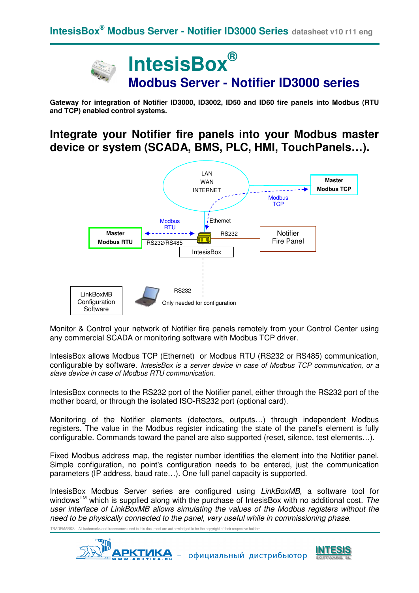# **IntesisBox® Modbus Server - Notifier ID3000 series**

**Gateway for integration of Notifier ID3000, ID3002, ID50 and ID60 fire panels into Modbus (RTU and TCP) enabled control systems.** 

# **Integrate your Notifier fire panels into your Modbus master device or system (SCADA, BMS, PLC, HMI, TouchPanels…).**



Monitor & Control your network of Notifier fire panels remotely from your Control Center using any commercial SCADA or monitoring software with Modbus TCP driver.

IntesisBox allows Modbus TCP (Ethernet) or Modbus RTU (RS232 or RS485) communication, configurable by software. IntesisBox is a server device in case of Modbus TCP communication, or a slave device in case of Modbus RTU communication.

IntesisBox connects to the RS232 port of the Notifier panel, either through the RS232 port of the mother board, or through the isolated ISO-RS232 port (optional card).

Monitoring of the Notifier elements (detectors, outputs…) through independent Modbus registers. The value in the Modbus register indicating the state of the panel's element is fully configurable. Commands toward the panel are also supported (reset, silence, test elements…).

Fixed Modbus address map, the register number identifies the element into the Notifier panel. Simple configuration, no point's configuration needs to be entered, just the communication parameters (IP address, baud rate…). One full panel capacity is supported.

IntesisBox Modbus Server series are configured using LinkBoxMB, a software tool for windows<sup>TM</sup> which is supplied along with the purchase of IntesisBox with no additional cost. The user interface of LinkBoxMB allows simulating the values of the Modbus registers without the need to be physically connected to the panel, very useful while in commissioning phase.

TRADEMARKS: All trademarks and tradenames used in this document are acknowledged to be the copyright of their respective holde



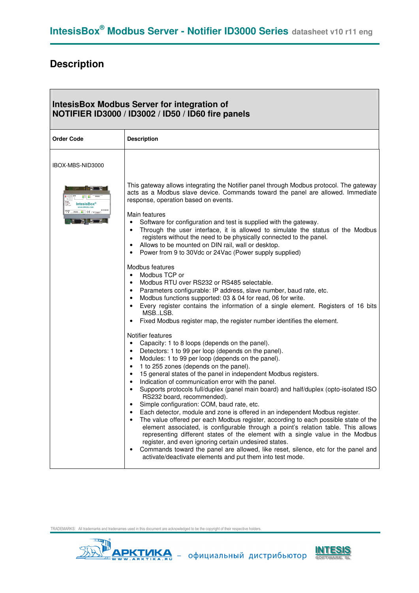# **Description**

| <b>IntesisBox Modbus Server for integration of</b><br>NOTIFIER ID3000 / ID3002 / ID50 / ID60 fire panels |                                                                                                                                                                                                                                                                                                                                                                                                                                                                                                                                                                                                                                                                                                                                                                                                                                                                                                                                                                                                                                                                                                                                                                                             |  |
|----------------------------------------------------------------------------------------------------------|---------------------------------------------------------------------------------------------------------------------------------------------------------------------------------------------------------------------------------------------------------------------------------------------------------------------------------------------------------------------------------------------------------------------------------------------------------------------------------------------------------------------------------------------------------------------------------------------------------------------------------------------------------------------------------------------------------------------------------------------------------------------------------------------------------------------------------------------------------------------------------------------------------------------------------------------------------------------------------------------------------------------------------------------------------------------------------------------------------------------------------------------------------------------------------------------|--|
| <b>Order Code</b>                                                                                        | <b>Description</b>                                                                                                                                                                                                                                                                                                                                                                                                                                                                                                                                                                                                                                                                                                                                                                                                                                                                                                                                                                                                                                                                                                                                                                          |  |
| IBOX-MBS-NID3000                                                                                         |                                                                                                                                                                                                                                                                                                                                                                                                                                                                                                                                                                                                                                                                                                                                                                                                                                                                                                                                                                                                                                                                                                                                                                                             |  |
| <b>IntesisBox®</b><br>RS232 8th CE FCConste                                                              | This gateway allows integrating the Notifier panel through Modbus protocol. The gateway<br>acts as a Modbus slave device. Commands toward the panel are allowed. Immediate<br>response, operation based on events.<br>Main features<br>Software for configuration and test is supplied with the gateway.<br>$\bullet$<br>Through the user interface, it is allowed to simulate the status of the Modbus<br>$\bullet$<br>registers without the need to be physically connected to the panel.<br>Allows to be mounted on DIN rail, wall or desktop.<br>٠<br>Power from 9 to 30Vdc or 24Vac (Power supply supplied)<br>$\bullet$                                                                                                                                                                                                                                                                                                                                                                                                                                                                                                                                                               |  |
|                                                                                                          | Modbus features<br>Modbus TCP or<br>$\bullet$<br>Modbus RTU over RS232 or RS485 selectable.<br>$\bullet$<br>Parameters configurable: IP address, slave number, baud rate, etc.<br>$\bullet$<br>Modbus functions supported: 03 & 04 for read, 06 for write.<br>$\bullet$<br>Every register contains the information of a single element. Registers of 16 bits<br>$\bullet$<br>MSB.LSB.<br>Fixed Modbus register map, the register number identifies the element.<br>$\bullet$                                                                                                                                                                                                                                                                                                                                                                                                                                                                                                                                                                                                                                                                                                                |  |
|                                                                                                          | Notifier features<br>Capacity: 1 to 8 loops (depends on the panel).<br>$\bullet$<br>Detectors: 1 to 99 per loop (depends on the panel).<br>$\bullet$<br>Modules: 1 to 99 per loop (depends on the panel).<br>$\bullet$<br>1 to 255 zones (depends on the panel).<br>$\bullet$<br>15 general states of the panel in independent Modbus registers.<br>$\bullet$<br>Indication of communication error with the panel.<br>$\bullet$<br>Supports protocols full/duplex (panel main board) and half/duplex (opto-isolated ISO<br>$\bullet$<br>RS232 board, recommended).<br>Simple configuration: COM, baud rate, etc.<br>٠<br>Each detector, module and zone is offered in an independent Modbus register.<br>The value offered per each Modbus register, according to each possible state of the<br>element associated, is configurable through a point's relation table. This allows<br>representing different states of the element with a single value in the Modbus<br>register, and even ignoring certain undesired states.<br>Commands toward the panel are allowed, like reset, silence, etc for the panel and<br>$\bullet$<br>activate/deactivate elements and put them into test mode. |  |

TRADEMARKS: All trademarks and tradenames used in this document are acknowledged to be the copyright of their respective holders.





 $\overline{\phantom{a}}$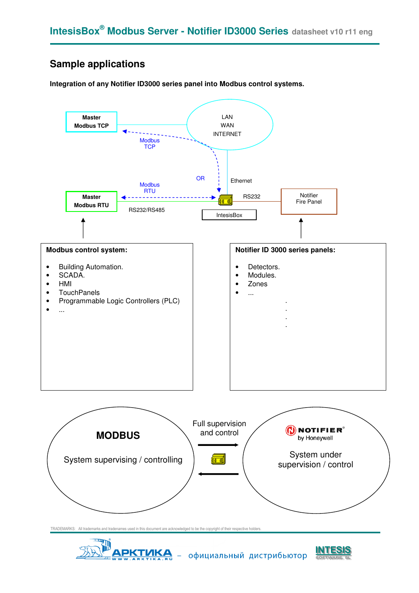# **Sample applications**

**Integration of any Notifier ID3000 series panel into Modbus control systems.** 





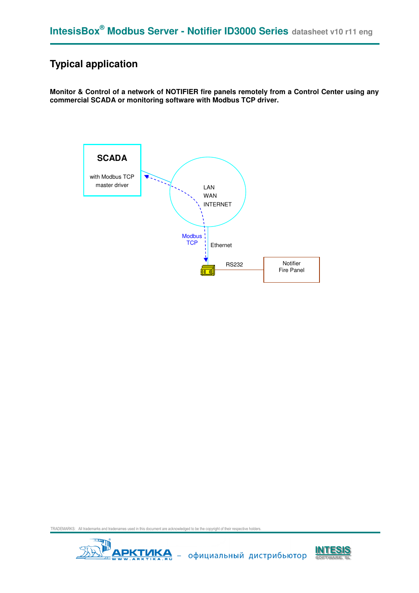# **Typical application**

**Monitor & Control of a network of NOTIFIER fire panels remotely from a Control Center using any commercial SCADA or monitoring software with Modbus TCP driver.**



TRADEMARKS: All trademarks and tradenames used in this document are acknowledged to be the copyright of their respective holders.



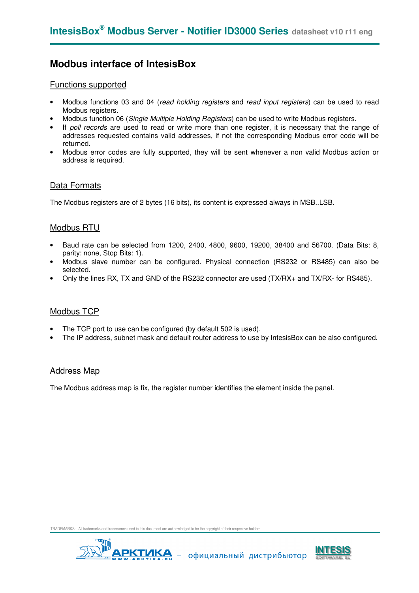### **Modbus interface of IntesisBox**

#### Functions supported

- Modbus functions 03 and 04 (read holding registers and read input registers) can be used to read Modbus registers.
- Modbus function 06 (Single Multiple Holding Registers) can be used to write Modbus registers.
- If poll records are used to read or write more than one register, it is necessary that the range of addresses requested contains valid addresses, if not the corresponding Modbus error code will be returned.
- Modbus error codes are fully supported, they will be sent whenever a non valid Modbus action or address is required.

#### Data Formats

The Modbus registers are of 2 bytes (16 bits), its content is expressed always in MSB..LSB.

#### Modbus RTU

- Baud rate can be selected from 1200, 2400, 4800, 9600, 19200, 38400 and 56700. (Data Bits: 8, parity: none, Stop Bits: 1).
- Modbus slave number can be configured. Physical connection (RS232 or RS485) can also be selected.
- Only the lines RX, TX and GND of the RS232 connector are used (TX/RX+ and TX/RX- for RS485).

#### Modbus TCP

- The TCP port to use can be configured (by default 502 is used).
- The IP address, subnet mask and default router address to use by IntesisBox can be also configured.

#### Address Map

The Modbus address map is fix, the register number identifies the element inside the panel.

es used in this document are acknowledged to be the copyright of their re



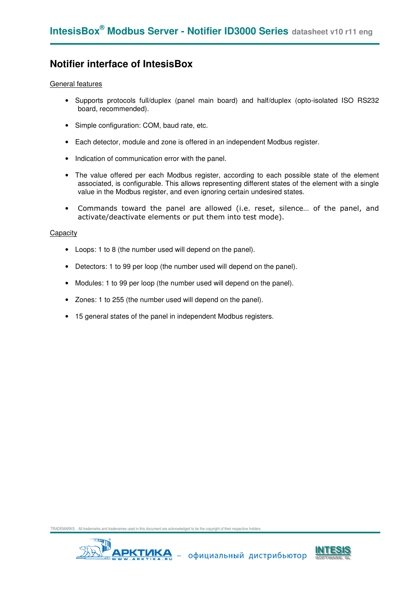### **Notifier interface of IntesisBox**

#### General features

- Supports protocols full/duplex (panel main board) and half/duplex (opto-isolated ISO RS232 board, recommended).
- Simple configuration: COM, baud rate, etc.
- Each detector, module and zone is offered in an independent Modbus register.
- Indication of communication error with the panel.
- The value offered per each Modbus register, according to each possible state of the element associated, is configurable. This allows representing different states of the element with a single value in the Modbus register, and even ignoring certain undesired states.
- Commands toward the panel are allowed (i.e. reset, silence… of the panel, and activate/deactivate elements or put them into test mode).

#### **Capacity**

- Loops: 1 to 8 (the number used will depend on the panel).
- Detectors: 1 to 99 per loop (the number used will depend on the panel).
- Modules: 1 to 99 per loop (the number used will depend on the panel).
- Zones: 1 to 255 (the number used will depend on the panel).
- 15 general states of the panel in independent Modbus registers.

TRADEMARKS: All trademarks and tradenames used in this document are acknowledged to be the copyright of their res



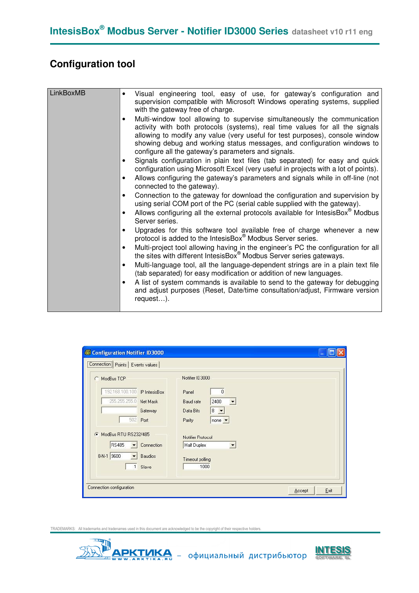# **Configuration tool**

| LinkBoxMB | Visual engineering tool, easy of use, for gateway's configuration and<br>$\bullet$<br>supervision compatible with Microsoft Windows operating systems, supplied<br>with the gateway free of charge.                                                                                                                                                                                     |
|-----------|-----------------------------------------------------------------------------------------------------------------------------------------------------------------------------------------------------------------------------------------------------------------------------------------------------------------------------------------------------------------------------------------|
|           | Multi-window tool allowing to supervise simultaneously the communication<br>$\bullet$<br>activity with both protocols (systems), real time values for all the signals<br>allowing to modify any value (very useful for test purposes), console window<br>showing debug and working status messages, and configuration windows to<br>configure all the gateway's parameters and signals. |
|           | Signals configuration in plain text files (tab separated) for easy and quick<br>configuration using Microsoft Excel (very useful in projects with a lot of points).                                                                                                                                                                                                                     |
|           | Allows configuring the gateway's parameters and signals while in off-line (not<br>$\bullet$<br>connected to the gateway).                                                                                                                                                                                                                                                               |
|           | Connection to the gateway for download the configuration and supervision by<br>using serial COM port of the PC (serial cable supplied with the gateway).                                                                                                                                                                                                                                |
|           | Allows configuring all the external protocols available for IntesisBox <sup>®</sup> Modbus<br>Server series.                                                                                                                                                                                                                                                                            |
|           | Upgrades for this software tool available free of charge whenever a new<br>protocol is added to the IntesisBox <sup>®</sup> Modbus Server series.                                                                                                                                                                                                                                       |
|           | Multi-project tool allowing having in the engineer's PC the configuration for all<br>$\bullet$<br>the sites with different IntesisBox <sup>®</sup> Modbus Server series gateways.                                                                                                                                                                                                       |
|           | Multi-language tool, all the language-dependent strings are in a plain text file<br>$\bullet$<br>(tab separated) for easy modification or addition of new languages.                                                                                                                                                                                                                    |
|           | A list of system commands is available to send to the gateway for debugging<br>and adjust purposes (Reset, Date/time consultation/adjust, Firmware version<br>request).                                                                                                                                                                                                                 |

| Configuration Notifier ID3000                                                                                                                                                                                                   |                                                                                                                                                                                                           |                |
|---------------------------------------------------------------------------------------------------------------------------------------------------------------------------------------------------------------------------------|-----------------------------------------------------------------------------------------------------------------------------------------------------------------------------------------------------------|----------------|
| <b>Connection</b> Points   Events values                                                                                                                                                                                        |                                                                                                                                                                                                           |                |
| ModBus TCP<br>192.168.100.100 IP IntesisBox<br>255.255.255.0 Net Mask<br>Gateway<br>502<br>Port<br>ModBus RTU RS232/485<br>G<br><b>RS485</b><br>Connection<br>$\overline{\phantom{a}}$<br>8-N-1 9600<br><b>Baudios</b><br>Slave | Notifier ID 3000<br>$\theta$<br>Panel<br>2400<br>Baud rate<br>▼<br>Data Bits<br>$8 -$<br>Parity<br>$none -$<br>Notifier Protocol<br><b>Half Duplex</b><br>$\blacktriangledown$<br>Timeout polling<br>1000 |                |
| Connection configuration                                                                                                                                                                                                        |                                                                                                                                                                                                           | Exit<br>Accept |

TRADEMARKS: All trademarks and tradenames used in this document are acknowledged to be the copyright of their respective holder



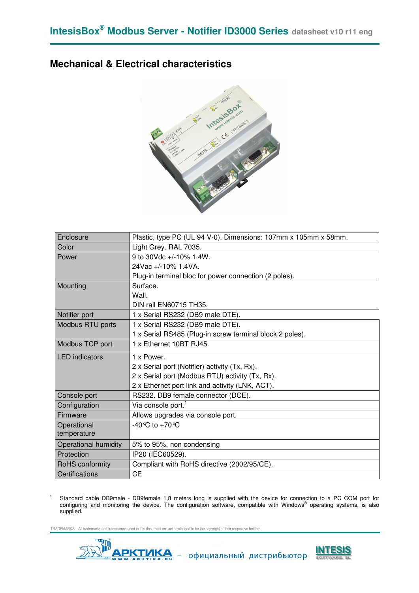### **Mechanical & Electrical characteristics**



| Enclosure             | Plastic, type PC (UL 94 V-0). Dimensions: 107mm x 105mm x 58mm. |
|-----------------------|-----------------------------------------------------------------|
| Color                 | Light Grey. RAL 7035.                                           |
| Power                 | 9 to 30Vdc +/-10% 1.4W.                                         |
|                       | 24Vac +/-10% 1.4VA.                                             |
|                       | Plug-in terminal bloc for power connection (2 poles).           |
| Mounting              | Surface.                                                        |
|                       | Wall.                                                           |
|                       | DIN rail EN60715 TH35.                                          |
| Notifier port         | 1 x Serial RS232 (DB9 male DTE).                                |
| Modbus RTU ports      | 1 x Serial RS232 (DB9 male DTE).                                |
|                       | 1 x Serial RS485 (Plug-in screw terminal block 2 poles).        |
| Modbus TCP port       | 1 x Ethernet 10BT RJ45.                                         |
| <b>LED</b> indicators | 1 x Power.                                                      |
|                       | 2 x Serial port (Notifier) activity (Tx, Rx).                   |
|                       | 2 x Serial port (Modbus RTU) activity (Tx, Rx).                 |
|                       | 2 x Ethernet port link and activity (LNK, ACT).                 |
| Console port          | RS232. DB9 female connector (DCE).                              |
| Configuration         | Via console port. <sup>1</sup>                                  |
| Firmware              | Allows upgrades via console port.                               |
| Operational           | -40 °C to +70 °C                                                |
| temperature           |                                                                 |
| Operational humidity  | 5% to 95%, non condensing                                       |
| Protection            | IP20 (IEC60529).                                                |
| RoHS conformity       | Compliant with RoHS directive (2002/95/CE).                     |
| Certifications        | <b>CE</b>                                                       |

Standard cable DB9male - DB9female 1,8 meters long is supplied with the device for connection to a PC COM port for<br>configuring and monitoring the device. The configuration software, compatible with Windows® operating syste supplied.

TRADEMARKS: All trademarks and tradenames used in this document are acknowledged to be the copyright of their res



1